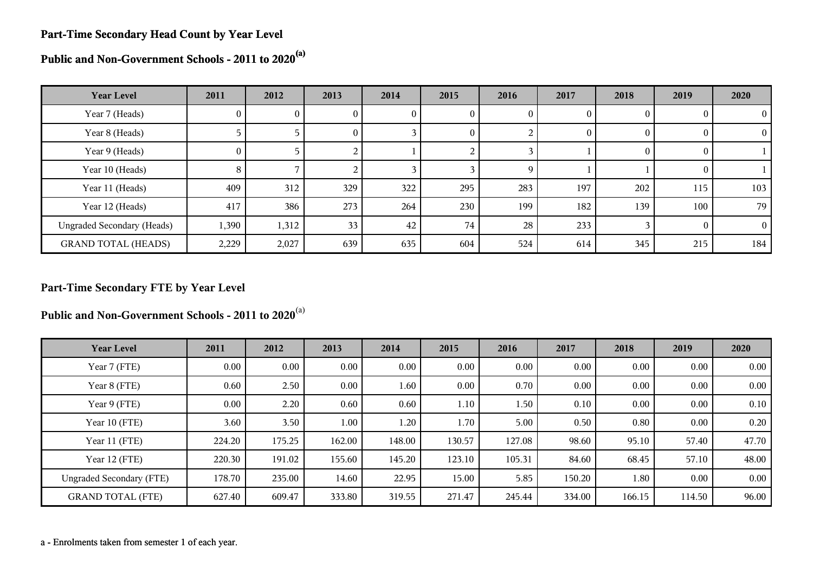#### **Part-Time Secondary Head Count by Year Level**

**Public and Non-Government Schools - 2011 to 2020(a)**

| <b>Year Level</b>                 | 2011     | 2012  | 2013            | 2014 | 2015 | 2016 | 2017     | 2018     | 2019 | 2020     |
|-----------------------------------|----------|-------|-----------------|------|------|------|----------|----------|------|----------|
| Year 7 (Heads)                    | 0        | U     | U.              | v    | U    | O    | $\bf{0}$ |          |      | $\theta$ |
| Year 8 (Heads)                    |          |       | $\Omega$        |      | 0    | ∠    | $\theta$ | O        |      | $\Omega$ |
| Year 9 (Heads)                    | $\sigma$ |       |                 |      |      |      |          | $\theta$ |      |          |
| Year 10 (Heads)                   | 8        |       |                 |      |      | 9    |          |          |      |          |
| Year 11 (Heads)                   | 409      | 312   | 329             | 322  | 295  | 283  | 197      | 202      | 115  | 103      |
| Year 12 (Heads)                   | 417      | 386   | 273             | 264  | 230  | 199  | 182      | 139      | 100  | 79       |
| <b>Ungraded Secondary (Heads)</b> | 1,390    | 1,312 | 33 <sub>1</sub> | 42   | 74   | 28   | 233      |          |      | $\Omega$ |
| <b>GRAND TOTAL (HEADS)</b>        | 2,229    | 2,027 | 639             | 635  | 604  | 524  | 614      | 345      | 215  | 184      |

#### **Part-Time Secondary FTE by Year Level**

**Public and Non-Government Schools - 2011 to 2020**(a)

| <b>Year Level</b>               | 2011     | 2012   | 2013     | 2014     | 2015   | 2016   | 2017   | 2018   | 2019   | 2020     |
|---------------------------------|----------|--------|----------|----------|--------|--------|--------|--------|--------|----------|
| Year 7 (FTE)                    | $0.00\,$ | 0.00   | 0.00     | $0.00\,$ | 0.00   | 0.00   | 0.00   | 0.00   | 0.00   | $0.00\,$ |
| Year 8 (FTE)                    | 0.60     | 2.50   | $0.00\,$ | 1.60     | 0.00   | 0.70   | 0.00   | 0.00   | 0.00   | 0.00     |
| Year 9 (FTE)                    | 0.00     | 2.20   | 0.60     | 0.60     | 1.10   | 1.50   | 0.10   | 0.00   | 0.00   | 0.10     |
| Year 10 (FTE)                   | 3.60     | 3.50   | 1.00     | 1.20     | 1.70   | 5.00   | 0.50   | 0.80   | 0.00   | 0.20     |
| Year 11 (FTE)                   | 224.20   | 175.25 | 162.00   | 148.00   | 130.57 | 127.08 | 98.60  | 95.10  | 57.40  | 47.70    |
| Year 12 (FTE)                   | 220.30   | 191.02 | 155.60   | 145.20   | 123.10 | 105.31 | 84.60  | 68.45  | 57.10  | 48.00    |
| <b>Ungraded Secondary (FTE)</b> | 178.70   | 235.00 | 14.60    | 22.95    | 15.00  | 5.85   | 150.20 | 1.80   | 0.00   | 0.00     |
| <b>GRAND TOTAL (FTE)</b>        | 627.40   | 609.47 | 333.80   | 319.55   | 271.47 | 245.44 | 334.00 | 166.15 | 114.50 | 96.00    |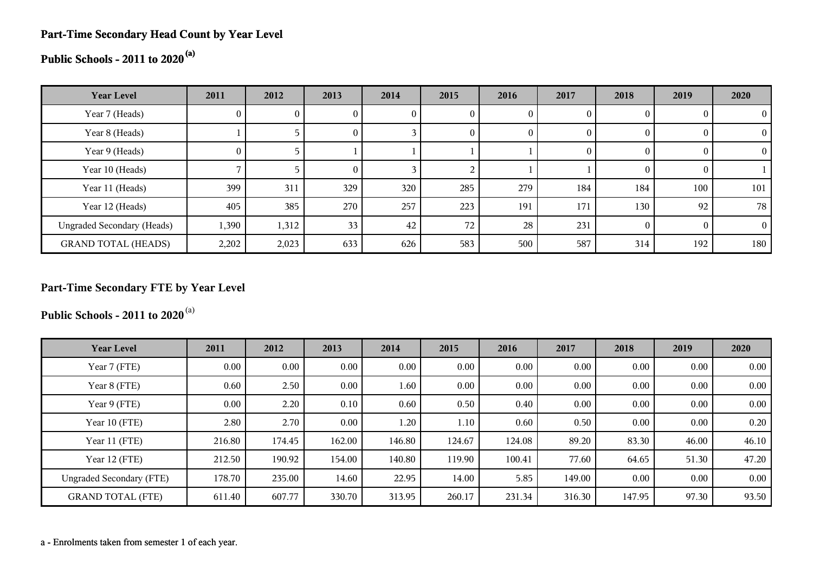#### **Part-Time Secondary Head Count by Year Level**

# **Public Schools - 2011 to 2020(a)**

| <b>Year Level</b>                 | 2011     | 2012  | 2013            | 2014 | 2015 | 2016     | 2017   | 2018 | 2019           | 2020            |
|-----------------------------------|----------|-------|-----------------|------|------|----------|--------|------|----------------|-----------------|
| Year 7 (Heads)                    | U.       |       |                 | U    | 0    |          |        |      | $\theta$       |                 |
| Year 8 (Heads)                    |          |       | U               |      | 0    | $\theta$ |        |      | $\overline{0}$ |                 |
| Year 9 (Heads)                    | $\theta$ |       |                 |      |      |          | $_{0}$ |      | $\theta$       |                 |
| Year 10 (Heads)                   |          |       | O               |      |      |          |        |      | $\theta$       |                 |
| Year 11 (Heads)                   | 399      | 311   | 329             | 320  | 285  | 279      | 184    | 184  | 100            | 101             |
| Year 12 (Heads)                   | 405      | 385   | 270             | 257  | 223  | 191      | 171    | 130  | 92             | 78 <sub>1</sub> |
| <b>Ungraded Secondary (Heads)</b> | 1,390    | 1,312 | 33 <sub>1</sub> | 42   | 72   | 28       | 231    |      | $\Omega$       | $\Omega$        |
| <b>GRAND TOTAL (HEADS)</b>        | 2,202    | 2,023 | 633             | 626  | 583  | 500      | 587    | 314  | 192            | 180             |

### **Part-Time Secondary FTE by Year Level**

**Public Schools - 2011 to 2020**(a)

| <b>Year Level</b>               | 2011     | 2012     | 2013   | 2014   | 2015   | 2016   | 2017   | 2018     | 2019  | 2020  |
|---------------------------------|----------|----------|--------|--------|--------|--------|--------|----------|-------|-------|
| Year 7 (FTE)                    | $0.00\,$ | $0.00\,$ | 0.00   | 0.00   | 0.00   | 0.00   | 0.00   | 0.00     | 0.00  | 0.00  |
| Year 8 (FTE)                    | 0.60     | 2.50     | 0.00   | 1.60   | 0.00   | 0.00   | 0.00   | 0.00     | 0.00  | 0.00  |
| Year 9 (FTE)                    | $0.00\,$ | 2.20     | 0.10   | 0.60   | 0.50   | 0.40   | 0.00   | 0.00     | 0.00  | 0.00  |
| Year 10 (FTE)                   | 2.80     | 2.70     | 0.00   | 1.20   | 1.10   | 0.60   | 0.50   | 0.00     | 0.00  | 0.20  |
| Year 11 (FTE)                   | 216.80   | 174.45   | 162.00 | 146.80 | 124.67 | 124.08 | 89.20  | 83.30    | 46.00 | 46.10 |
| Year 12 (FTE)                   | 212.50   | 190.92   | 154.00 | 140.80 | 119.90 | 100.41 | 77.60  | 64.65    | 51.30 | 47.20 |
| <b>Ungraded Secondary (FTE)</b> | 178.70   | 235.00   | 14.60  | 22.95  | 14.00  | 5.85   | 149.00 | $0.00\,$ | 0.00  | 0.00  |
| <b>GRAND TOTAL (FTE)</b>        | 611.40   | 607.77   | 330.70 | 313.95 | 260.17 | 231.34 | 316.30 | 147.95   | 97.30 | 93.50 |

a - Enrolments taken from semester 1 of each year.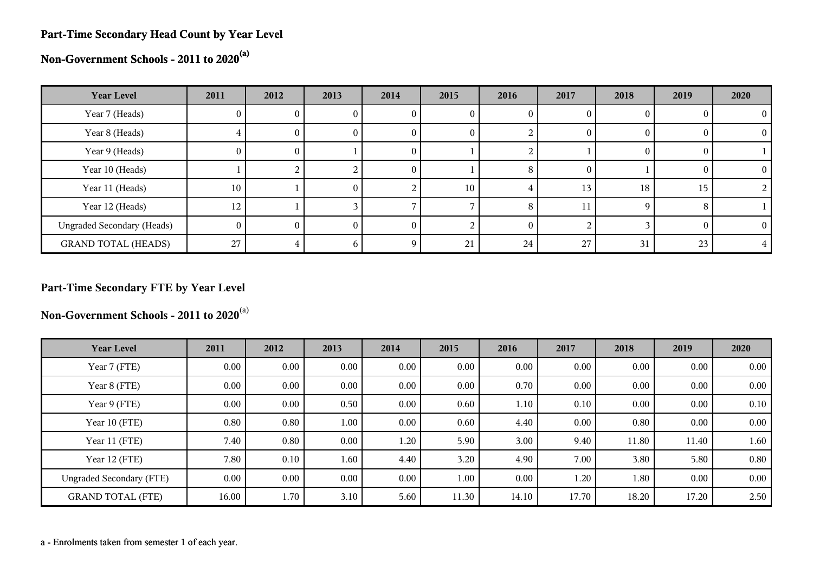#### **Part-Time Secondary Head Count by Year Level**

**Non-Government Schools - 2011 to 2020(a)**

| <b>Year Level</b>                 | 2011 | 2012 | 2013 | 2014 | 2015 | 2016 | 2017     | 2018 | 2019 | 2020     |
|-----------------------------------|------|------|------|------|------|------|----------|------|------|----------|
| Year 7 (Heads)                    | U.   |      |      | U    |      |      |          |      |      |          |
| Year 8 (Heads)                    |      | 0.   | U    | U    | U    |      | 0        |      |      | $\Omega$ |
| Year 9 (Heads)                    | 0    | U    |      | v    |      |      |          |      |      |          |
| Year 10 (Heads)                   |      |      |      | 0    |      | 8    | $\theta$ |      |      |          |
| Year 11 (Heads)                   | 10   |      | 0.   |      | 10   | 4    | 13       | 18   | 15   |          |
| Year 12 (Heads)                   | 12   |      |      |      |      | 8    |          |      |      |          |
| <b>Ungraded Secondary (Heads)</b> | 0    |      |      |      |      |      |          |      |      |          |
| <b>GRAND TOTAL (HEADS)</b>        | 27   |      |      |      | 21   | 24   | 27       | 31   | 23   |          |

### **Part-Time Secondary FTE by Year Level**

**Non-Government Schools - 2011 to 2020**(a)

| <b>Year Level</b>               | 2011     | 2012     | 2013     | 2014 | 2015  | 2016  | 2017  | 2018     | 2019  | 2020 |
|---------------------------------|----------|----------|----------|------|-------|-------|-------|----------|-------|------|
| Year 7 (FTE)                    | $0.00\,$ | $0.00\,$ | $0.00\,$ | 0.00 | 0.00  | 0.00  | 0.00  | $0.00\,$ | 0.00  | 0.00 |
| Year 8 (FTE)                    | 0.00     | $0.00\,$ | $0.00\,$ | 0.00 | 0.00  | 0.70  | 0.00  | $0.00\,$ | 0.00  | 0.00 |
| Year 9 (FTE)                    | 0.00     | $0.00\,$ | 0.50     | 0.00 | 0.60  | 1.10  | 0.10  | 0.00     | 0.00  | 0.10 |
| Year 10 (FTE)                   | 0.80     | 0.80     | 1.00     | 0.00 | 0.60  | 4.40  | 0.00  | 0.80     | 0.00  | 0.00 |
| Year 11 (FTE)                   | 7.40     | 0.80     | 0.00     | 1.20 | 5.90  | 3.00  | 9.40  | 11.80    | 11.40 | 1.60 |
| Year 12 (FTE)                   | 7.80     | 0.10     | 1.60     | 4.40 | 3.20  | 4.90  | 7.00  | 3.80     | 5.80  | 0.80 |
| <b>Ungraded Secondary (FTE)</b> | 0.00     | $0.00\,$ | 0.00     | 0.00 | 1.00  | 0.00  | 1.20  | 1.80     | 0.00  | 0.00 |
| <b>GRAND TOTAL (FTE)</b>        | 16.00    | 1.70     | 3.10     | 5.60 | 11.30 | 14.10 | 17.70 | 18.20    | 17.20 | 2.50 |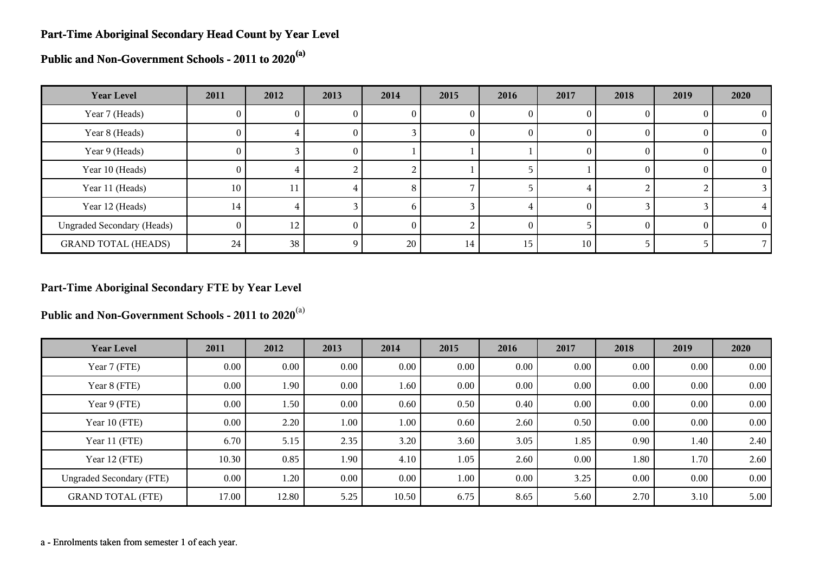#### **Part-Time Aboriginal Secondary Head Count by Year Level**

**Public and Non-Government Schools - 2011 to 2020(a)**

| <b>Year Level</b>                 | 2011           | 2012 | 2013     | 2014 | 2015 | 2016 | 2017 | 2018   | 2019 | 2020       |
|-----------------------------------|----------------|------|----------|------|------|------|------|--------|------|------------|
| Year 7 (Heads)                    | 0              | U.   |          | U    | U    | O    |      |        |      | $\theta$   |
| Year 8 (Heads)                    | $\theta$       |      | O.       |      | O    | 0    |      | $_{0}$ |      | $\theta$   |
| Year 9 (Heads)                    | $\theta$       |      | 0        |      |      |      | 0    | $_{0}$ |      | $\Omega$   |
| Year 10 (Heads)                   | $\Omega$       |      |          |      |      |      |      |        |      | $^{\circ}$ |
| Year 11 (Heads)                   | 10             | 11   | 4        | 8    |      |      |      |        |      |            |
| Year 12 (Heads)                   | 14             |      |          | 'n   |      |      |      |        |      |            |
| <b>Ungraded Secondary (Heads)</b> | $\overline{0}$ | 12   | $^{(1)}$ |      |      |      |      |        |      | $\theta$   |
| <b>GRAND TOTAL (HEADS)</b>        | 24             | 38   | 9        | 20   | 14   | 15   | 10   |        |      |            |

#### **Part-Time Aboriginal Secondary FTE by Year Level**

**Public and Non-Government Schools - 2011 to 2020**(a)

| <b>Year Level</b>               | 2011  | 2012     | 2013     | 2014  | 2015     | 2016 | 2017 | 2018     | 2019     | 2020 |
|---------------------------------|-------|----------|----------|-------|----------|------|------|----------|----------|------|
| Year 7 (FTE)                    | 0.00  | $0.00\,$ | $0.00\,$ | 0.00  | 0.00     | 0.00 | 0.00 | 0.00     | 0.00     | 0.00 |
| Year 8 (FTE)                    | 0.00  | 1.90     | 0.00     | 1.60  | 0.00     | 0.00 | 0.00 | 0.00     | 0.00     | 0.00 |
| Year 9 (FTE)                    | 0.00  | 1.50     | $0.00\,$ | 0.60  | 0.50     | 0.40 | 0.00 | 0.00     | 0.00     | 0.00 |
| Year 10 (FTE)                   | 0.00  | 2.20     | 1.00     | 1.00  | 0.60     | 2.60 | 0.50 | $0.00\,$ | 0.00     | 0.00 |
| Year 11 (FTE)                   | 6.70  | 5.15     | 2.35     | 3.20  | 3.60     | 3.05 | 1.85 | 0.90     | 1.40     | 2.40 |
| Year 12 (FTE)                   | 10.30 | 0.85     | 1.90     | 4.10  | 1.05     | 2.60 | 0.00 | $1.80\,$ | 1.70     | 2.60 |
| <b>Ungraded Secondary (FTE)</b> | 0.00  | 1.20     | $0.00\,$ | 0.00  | $1.00\,$ | 0.00 | 3.25 | $0.00\,$ | $0.00\,$ | 0.00 |
| <b>GRAND TOTAL (FTE)</b>        | 17.00 | 12.80    | 5.25     | 10.50 | 6.75     | 8.65 | 5.60 | 2.70     | 3.10     | 5.00 |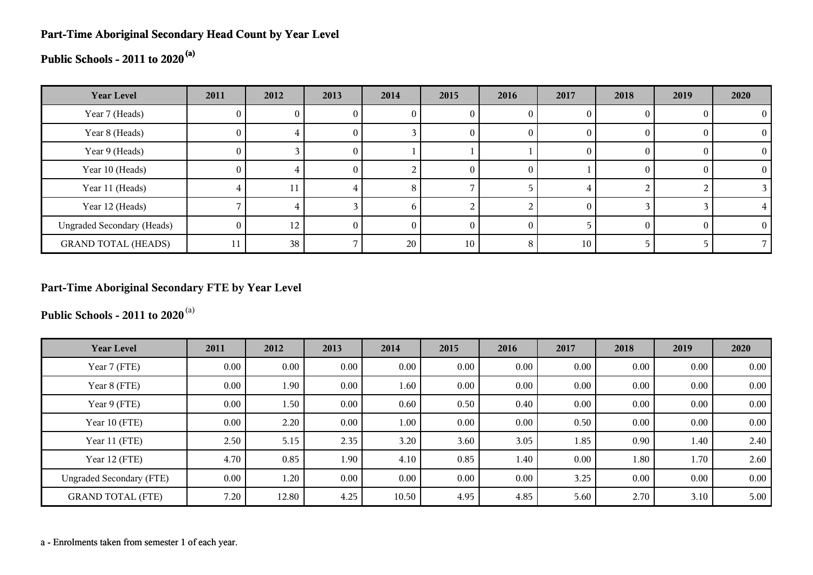#### **Part-Time Aboriginal Secondary Head Count by Year Level**

# **Public Schools - 2011 to 2020(a)**

| <b>Year Level</b>                 | 2011           | 2012 | 2013 | 2014 | 2015 | 2016 | 2017     | 2018 | 2019     | 2020 |
|-----------------------------------|----------------|------|------|------|------|------|----------|------|----------|------|
| Year 7 (Heads)                    | U              |      |      | U    |      |      | $\bf{0}$ |      | 0        |      |
| Year 8 (Heads)                    | $\theta$       | 4    | O.   |      |      |      | $\theta$ |      | $\bf{0}$ |      |
| Year 9 (Heads)                    | $\theta$       |      | O.   |      |      |      | $\theta$ |      | $\theta$ |      |
| Year 10 (Heads)                   | $\theta$       | 4    | 0.   |      | U    |      |          |      | $\theta$ |      |
| Year 11 (Heads)                   |                | ΙI   |      | 8    |      |      |          |      |          |      |
| Year 12 (Heads)                   |                | 4    |      | n    |      |      | $\Omega$ |      |          |      |
| <b>Ungraded Secondary (Heads)</b> | $\overline{0}$ | 12   | 0    | 0    |      |      |          |      | $\Omega$ |      |
| <b>GRAND TOTAL (HEADS)</b>        | 11             | 38   |      | 20   | 10   | 8    | 10       |      |          |      |

#### **Part-Time Aboriginal Secondary FTE by Year Level**

**Public Schools - 2011 to 2020**(a)

| <b>Year Level</b>               | 2011     | 2012     | 2013 | 2014     | 2015 | 2016 | 2017 | 2018     | 2019 | 2020 |
|---------------------------------|----------|----------|------|----------|------|------|------|----------|------|------|
| Year 7 (FTE)                    | $0.00\,$ | $0.00\,$ | 0.00 | 0.00     | 0.00 | 0.00 | 0.00 | 0.00     | 0.00 | 0.00 |
| Year 8 (FTE)                    | 0.00     | 1.90     | 0.00 | 1.60     | 0.00 | 0.00 | 0.00 | 0.00     | 0.00 | 0.00 |
| Year 9 (FTE)                    | $0.00\,$ | 1.50     | 0.00 | 0.60     | 0.50 | 0.40 | 0.00 | 0.00     | 0.00 | 0.00 |
| Year 10 (FTE)                   | $0.00\,$ | 2.20     | 0.00 | $1.00\,$ | 0.00 | 0.00 | 0.50 | 0.00     | 0.00 | 0.00 |
| Year 11 (FTE)                   | 2.50     | 5.15     | 2.35 | 3.20     | 3.60 | 3.05 | 1.85 | 0.90     | 1.40 | 2.40 |
| Year 12 (FTE)                   | 4.70     | 0.85     | 1.90 | 4.10     | 0.85 | 1.40 | 0.00 | 1.80     | 1.70 | 2.60 |
| <b>Ungraded Secondary (FTE)</b> | $0.00\,$ | 1.20     | 0.00 | 0.00     | 0.00 | 0.00 | 3.25 | $0.00\,$ | 0.00 | 0.00 |
| <b>GRAND TOTAL (FTE)</b>        | 7.20     | 12.80    | 4.25 | 10.50    | 4.95 | 4.85 | 5.60 | 2.70     | 3.10 | 5.00 |

a - Enrolments taken from semester 1 of each year.